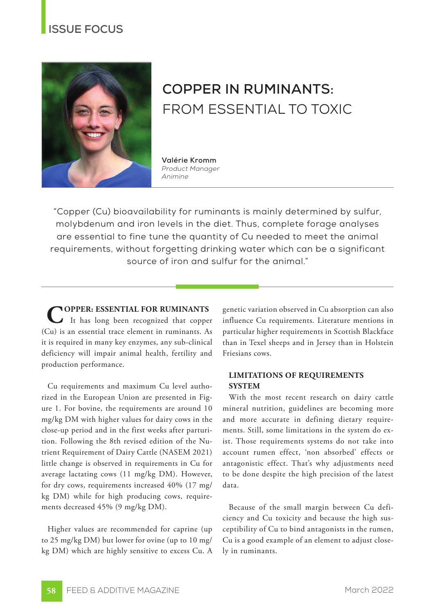## **ISSUE FOCUS**



# **COPPER IN RUMINANTS:**  FROM ESSENTIAL TO TOXIC

**Valérie Kromm** *Product Manager Animine*

"Copper (Cu) bioavailability for ruminants is mainly determined by sulfur, molybdenum and iron levels in the diet. Thus, complete forage analyses are essential to fine tune the quantity of Cu needed to meet the animal requirements, without forgetting drinking water which can be a significant source of iron and sulfur for the animal."

**COPPER: ESSENTIAL FOR RUMINANTS** It has long been recognized that copper (Cu) is an essential trace element in ruminants. As it is required in many key enzymes, any sub-clinical deficiency will impair animal health, fertility and production performance.

Cu requirements and maximum Cu level authorized in the European Union are presented in Figure 1. For bovine, the requirements are around 10 mg/kg DM with higher values for dairy cows in the close-up period and in the first weeks after parturition. Following the 8th revised edition of the Nutrient Requirement of Dairy Cattle (NASEM 2021) little change is observed in requirements in Cu for average lactating cows (11 mg/kg DM). However, for dry cows, requirements increased 40% (17 mg/ kg DM) while for high producing cows, requirements decreased 45% (9 mg/kg DM).

Higher values are recommended for caprine (up to 25 mg/kg DM) but lower for ovine (up to 10 mg/ kg DM) which are highly sensitive to excess Cu. A genetic variation observed in Cu absorption can also influence Cu requirements. Literature mentions in particular higher requirements in Scottish Blackface than in Texel sheeps and in Jersey than in Holstein Friesians cows.

#### **LIMITATIONS OF REQUIREMENTS SYSTEM**

With the most recent research on dairy cattle mineral nutrition, guidelines are becoming more and more accurate in defining dietary requirements. Still, some limitations in the system do exist. Those requirements systems do not take into account rumen effect, 'non absorbed' effects or antagonistic effect. That's why adjustments need to be done despite the high precision of the latest data.

Because of the small margin between Cu deficiency and Cu toxicity and because the high susceptibility of Cu to bind antagonists in the rumen, Cu is a good example of an element to adjust closely in ruminants.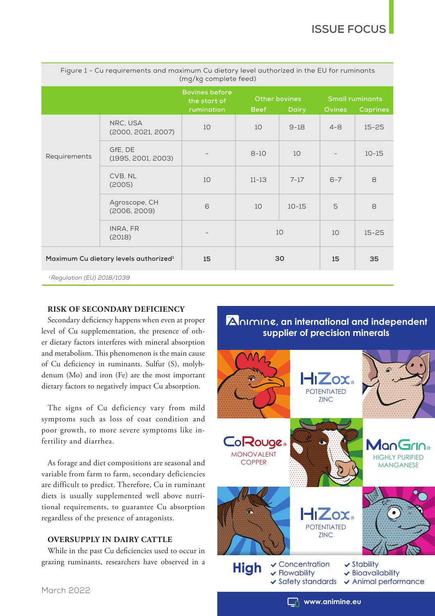| Figure I - Cu requirements and maximum Cu dietary level authorized in the EU for ruminants<br>(mg/kg complete feed) |                                |                                                     |             |                        |         |                                                            |  |
|---------------------------------------------------------------------------------------------------------------------|--------------------------------|-----------------------------------------------------|-------------|------------------------|---------|------------------------------------------------------------|--|
|                                                                                                                     |                                | <b>Bovines before</b><br>the start of<br>rumination | <b>Beef</b> | Other bovines<br>Dairy |         | <b>Small ruminants</b><br><b>Ovines</b><br><b>Caprines</b> |  |
| Requirements                                                                                                        | NRC, USA<br>(2000, 2021, 2007) | 10                                                  | 10          | $9-18$                 | $4 - 8$ | $15 - 25$                                                  |  |
|                                                                                                                     | GfE, DE<br>(1995, 2001, 2003)  |                                                     | $8 - 10$    | 10                     |         | $10 - 15$                                                  |  |
|                                                                                                                     | CVB, NL<br>(2005)              | 10                                                  | $11 - 13$   | $7 - 17$               | $6 - 7$ | 8                                                          |  |
|                                                                                                                     | Agroscope, CH<br>(2006, 2009)  | 6                                                   | 10          | $10 - 15$              | 5       | 8                                                          |  |
|                                                                                                                     | INRA, FR<br>(2018)             |                                                     | 10          |                        | 10      | $15 - 25$                                                  |  |
| Maximum Cu dietary levels authorized <sup>1</sup>                                                                   |                                | 15                                                  | 30          |                        | 15      | 35                                                         |  |
| <sup>1</sup> Regulation (EU) 2018/1039                                                                              |                                |                                                     |             |                        |         |                                                            |  |

## Figure 1 - Cu requirements and maximum Cu dietary level authorized in the EU for ruminants

#### **RISK OF SECONDARY DEFICIENCY**

Secondary deficiency happens when even at proper level of Cu supplementation, the presence of other dietary factors interferes with mineral absorption and metabolism. This phenomenon is the main cause of Cu deficiency in ruminants. Sulfur (S), molybdenum (Mo) and iron (Fe) are the most important dietary factors to negatively impact Cu absorption.

The signs of Cu deficiency vary from mild symptoms such as loss of coat condition and poor growth, to more severe symptoms like infertility and diarrhea.

As forage and diet compositions are seasonal and variable from farm to farm, secondary deficiencies are difficult to predict. Therefore, Cu in ruminant diets is usually supplemented well above nutritional requirements, to guarantee Cu absorption regardless of the presence of antagonists.

#### **OVERSUPPLY IN DAIRY CATTLE**

While in the past Cu deficiencies used to occur in grazing ruminants, researchers have observed in a

### **an international and independent , supplier of precision minerals**



March 2022

**www.animine.eu**